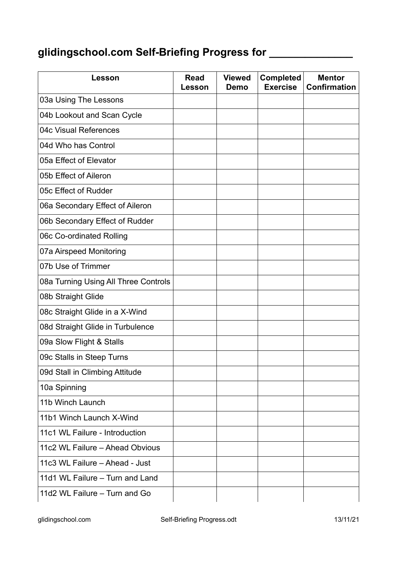## **glidingschool.com Self-Briefing Progress for \_\_\_\_\_\_\_\_\_\_\_\_\_\_**

| <b>Lesson</b>                        | <b>Read</b><br>Lesson | <b>Viewed</b><br>Demo | <b>Completed</b><br><b>Exercise</b> | <b>Mentor</b><br><b>Confirmation</b> |
|--------------------------------------|-----------------------|-----------------------|-------------------------------------|--------------------------------------|
| 03a Using The Lessons                |                       |                       |                                     |                                      |
| 04b Lookout and Scan Cycle           |                       |                       |                                     |                                      |
| 04c Visual References                |                       |                       |                                     |                                      |
| 04d Who has Control                  |                       |                       |                                     |                                      |
| 05a Effect of Elevator               |                       |                       |                                     |                                      |
| 05b Effect of Aileron                |                       |                       |                                     |                                      |
| 05c Effect of Rudder                 |                       |                       |                                     |                                      |
| 06a Secondary Effect of Aileron      |                       |                       |                                     |                                      |
| 06b Secondary Effect of Rudder       |                       |                       |                                     |                                      |
| 06c Co-ordinated Rolling             |                       |                       |                                     |                                      |
| 07a Airspeed Monitoring              |                       |                       |                                     |                                      |
| 07b Use of Trimmer                   |                       |                       |                                     |                                      |
| 08a Turning Using All Three Controls |                       |                       |                                     |                                      |
| 08b Straight Glide                   |                       |                       |                                     |                                      |
| 08c Straight Glide in a X-Wind       |                       |                       |                                     |                                      |
| 08d Straight Glide in Turbulence     |                       |                       |                                     |                                      |
| 09a Slow Flight & Stalls             |                       |                       |                                     |                                      |
| 09c Stalls in Steep Turns            |                       |                       |                                     |                                      |
| 09d Stall in Climbing Attitude       |                       |                       |                                     |                                      |
| 10a Spinning                         |                       |                       |                                     |                                      |
| 11b Winch Launch                     |                       |                       |                                     |                                      |
| 11b1 Winch Launch X-Wind             |                       |                       |                                     |                                      |
| 11c1 WL Failure - Introduction       |                       |                       |                                     |                                      |
| 11c2 WL Failure - Ahead Obvious      |                       |                       |                                     |                                      |
| 11c3 WL Failure - Ahead - Just       |                       |                       |                                     |                                      |
| 11d1 WL Failure - Turn and Land      |                       |                       |                                     |                                      |
| 11d2 WL Failure - Turn and Go        |                       |                       |                                     |                                      |